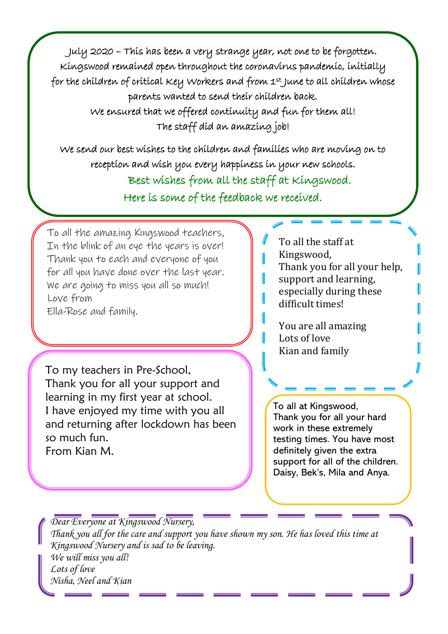July 2020 – This has been a very strange year, not one to be forgotten. Kingswood remained open throughout the coronavirus pandemic, initially for the children of critical Key Workers and from 1st June to all children whose parents wanted to send their children back.

> We ensured that we offered continuity and fun for them all! The staff did an amazing job!

We send our best wishes to the children and families who are moving on to reception and wish you every happiness in your new schools. Best wishes from all the staff at Kingswood.

Here is some of the feedback we received.

To all the amazing Kingswood teachers, In the blink of an eye the years is over! Thank you to each and everyone of you for all you have done over the last year. We are going to miss you all so much! Love from Ella-Rose and family.

To my teachers in Pre-School, Thank you for all your support and learning in my first year at school. I have enjoyed my time with you all and returning after lockdown has been so much fun. From Kian M.

To all the staff at Kingswood, Thank you for all your help, support and learning, especially during these difficult times!

You are all amazing Lots of love Kian and family

To all at Kingswood, Thank you for all your hard work in these extremely testing times. You have most definitely given the extra support for all of the children. Daisy, Bek's, Mila and Anya.

*Dear Everyone at Kingswood Nursery, Thank you all for the care and support you have shown my son. He has loved this time at Kingswood Nursery and is sad to be leaving. We will miss you all! Lots of love Nisha, Neel and Kian*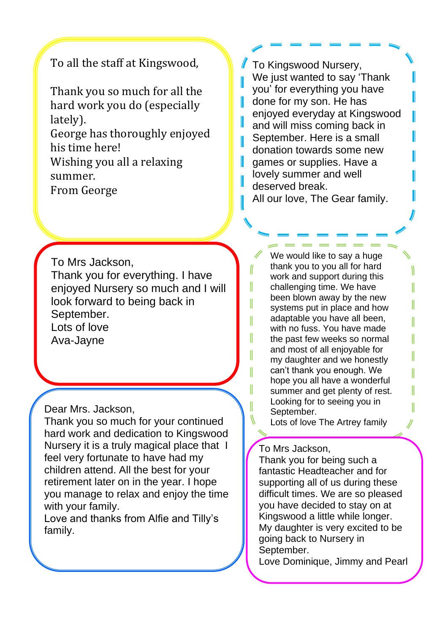## To all the staff at Kingswood,

Thank you so much for all the hard work you do (especially lately). George has thoroughly enjoyed

his time here!

Wishing you all a relaxing summer.

From George

To Mrs Jackson, Thank you for everything. I have enjoyed Nursery so much and I will look forward to being back in September. Lots of love Ava-Jayne

Dear Mrs. Jackson,

Thank you so much for your continued hard work and dedication to Kingswood Nursery it is a truly magical place that I feel very fortunate to have had my children attend. All the best for your retirement later on in the year. I hope you manage to relax and enjoy the time with your family.

Love and thanks from Alfie and Tilly's family.

To Kingswood Nursery, We just wanted to say 'Thank you' for everything you have done for my son. He has enjoyed everyday at Kingswood and will miss coming back in September. Here is a small donation towards some new games or supplies. Have a lovely summer and well deserved break. All our love, The Gear family.

ι

I

Ш

I

I

 $\parallel$ 

I

We would like to say a huge thank you to you all for hard work and support during this challenging time. We have been blown away by the new systems put in place and how adaptable you have all been, with no fuss. You have made the past few weeks so normal and most of all enjoyable for my daughter and we honestly can't thank you enough. We hope you all have a wonderful summer and get plenty of rest. Looking for to seeing you in September.

Lots of love The Artrey family

## To Mrs Jackson,

Thank you for being such a fantastic Headteacher and for supporting all of us during these difficult times. We are so pleased you have decided to stay on at Kingswood a little while longer. My daughter is very excited to be going back to Nursery in September.

Love Dominique, Jimmy and Pearl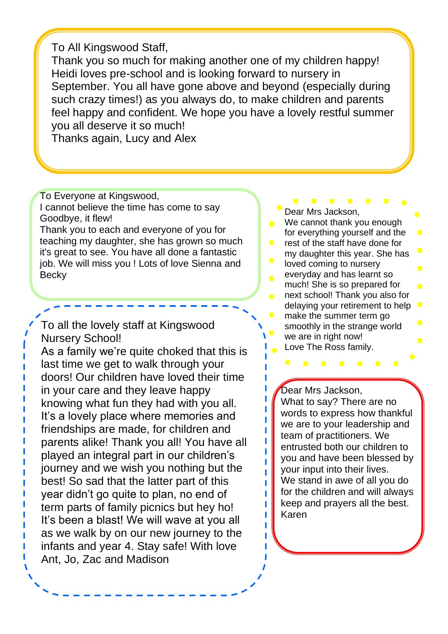To All Kingswood Staff,

Thank you so much for making another one of my children happy! Heidi loves pre-school and is looking forward to nursery in September. You all have gone above and beyond (especially during such crazy times!) as you always do, to make children and parents feel happy and confident. We hope you have a lovely restful summer you all deserve it so much!

Thanks again, Lucy and Alex

To Everyone at Kingswood, I cannot believe the time has come to say Goodbye, it flew!

Thank you to each and everyone of you for teaching my daughter, she has grown so much it's great to see. You have all done a fantastic job. We will miss you ! Lots of love Sienna and **Becky** 

To all the lovely staff at Kingswood Nursery School!

As a family we're quite choked that this is last time we get to walk through your doors! Our children have loved their time in your care and they leave happy knowing what fun they had with you all. It's a lovely place where memories and friendships are made, for children and parents alike! Thank you all! You have all played an integral part in our children's journey and we wish you nothing but the best! So sad that the latter part of this year didn't go quite to plan, no end of term parts of family picnics but hey ho! It's been a blast! We will wave at you all as we walk by on our new journey to the infants and year 4. Stay safe! With love Ant, Jo, Zac and Madison

**Contract Contract** Dear Mrs Jackson,

- We cannot thank you enough for everything yourself and the
- rest of the staff have done for my daughter this year. She has
- $\mathcal{L}_{\mathcal{A}}$ loved coming to nursery everyday and has learnt so  $\blacksquare$ much! She is so prepared for  $\overline{\phantom{a}}$ next school! Thank you also for delaying your retirement to help  $\mathcal{L}_{\mathcal{A}}$ 
	- make the summer term go smoothly in the strange world we are in right now! Love The Ross family.

 $\mathbf{u}$ 

 $\mathbf{r}$ 

Dear Mrs Jackson,

ı

ı

П

П П П

Π

 $\mathcal{L}^{\text{max}}$ 

What to say? There are no words to express how thankful we are to your leadership and team of practitioners. We entrusted both our children to you and have been blessed by your input into their lives. We stand in awe of all you do for the children and will always keep and prayers all the best. Karen